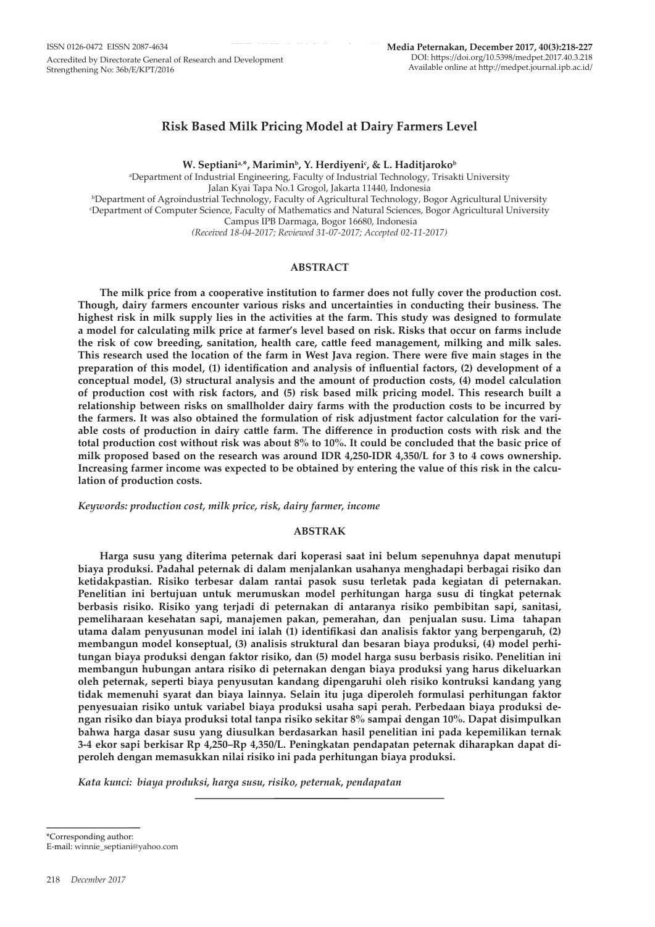# **Risk Based Milk Pricing Model at Dairy Farmers Level**

W. Septiani<sup>a,\*</sup>, Marimin<sup>b</sup>, Y. Herdiyeni<sup>c</sup>, & L. Haditjaroko<sup>b</sup>

a Department of Industrial Engineering, Faculty of Industrial Technology, Trisakti University Jalan Kyai Tapa No.1 Grogol, Jakarta 11440, Indonesia b Department of Agroindustrial Technology, Faculty of Agricultural Technology, Bogor Agricultural University c Department of Computer Science, Faculty of Mathematics and Natural Sciences, Bogor Agricultural University Campus IPB Darmaga, Bogor 16680, Indonesia *(Received 18-04-2017; Reviewed 31-07-2017; Accepted 02-11-2017)*

### **ABSTRACT**

**The milk price from a cooperative institution to farmer does not fully cover the production cost. Though, dairy farmers encounter various risks and uncertainties in conducting their business. The highest risk in milk supply lies in the activities at the farm. This study was designed to formulate a model for calculating milk price at farmer's level based on risk. Risks that occur on farms include the risk of cow breeding, sanitation, health care, cattle feed management, milking and milk sales. This research used the location of the farm in West Java region. There were five main stages in the preparation of this model, (1) identification and analysis of influential factors, (2) development of a conceptual model, (3) structural analysis and the amount of production costs, (4) model calculation of production cost with risk factors, and (5) risk based milk pricing model. This research built a relationship between risks on smallholder dairy farms with the production costs to be incurred by the farmers. It was also obtained the formulation of risk adjustment factor calculation for the variable costs of production in dairy cattle farm. The difference in production costs with risk and the total production cost without risk was about 8% to 10%. It could be concluded that the basic price of milk proposed based on the research was around IDR 4,250-IDR 4,350/L for 3 to 4 cows ownership. Increasing farmer income was expected to be obtained by entering the value of this risk in the calculation of production costs.** 

*Keywords: production cost, milk price, risk, dairy farmer, income*

#### **ABSTRAK**

**Harga susu yang diterima peternak dari koperasi saat ini belum sepenuhnya dapat menutupi biaya produksi. Padahal peternak di dalam menjalankan usahanya menghadapi berbagai risiko dan ketidakpastian. Risiko terbesar dalam rantai pasok susu terletak pada kegiatan di peternakan. Penelitian ini bertujuan untuk merumuskan model perhitungan harga susu di tingkat peternak berbasis risiko. Risiko yang terjadi di peternakan di antaranya risiko pembibitan sapi, sanitasi, pemeliharaan kesehatan sapi, manajemen pakan, pemerahan, dan penjualan susu. Lima tahapan utama dalam penyusunan model ini ialah (1) identifikasi dan analisis faktor yang berpengaruh, (2) membangun model konseptual, (3) analisis struktural dan besaran biaya produksi, (4) model perhitungan biaya produksi dengan faktor risiko, dan (5) model harga susu berbasis risiko. Penelitian ini membangun hubungan antara risiko di peternakan dengan biaya produksi yang harus dikeluarkan oleh peternak, seperti biaya penyusutan kandang dipengaruhi oleh risiko kontruksi kandang yang tidak memenuhi syarat dan biaya lainnya. Selain itu juga diperoleh formulasi perhitungan faktor penyesuaian risiko untuk variabel biaya produksi usaha sapi perah. Perbedaan biaya produksi dengan risiko dan biaya produksi total tanpa risiko sekitar 8% sampai dengan 10%. Dapat disimpulkan bahwa harga dasar susu yang diusulkan berdasarkan hasil penelitian ini pada kepemilikan ternak 3-4 ekor sapi berkisar Rp 4,250–Rp 4,350/L. Peningkatan pendapatan peternak diharapkan dapat diperoleh dengan memasukkan nilai risiko ini pada perhitungan biaya produksi.**

*Kata kunci: biaya produksi, harga susu, risiko, peternak, pendapatan*

\*Corresponding author:

E-mail: winnie\_septiani@yahoo.com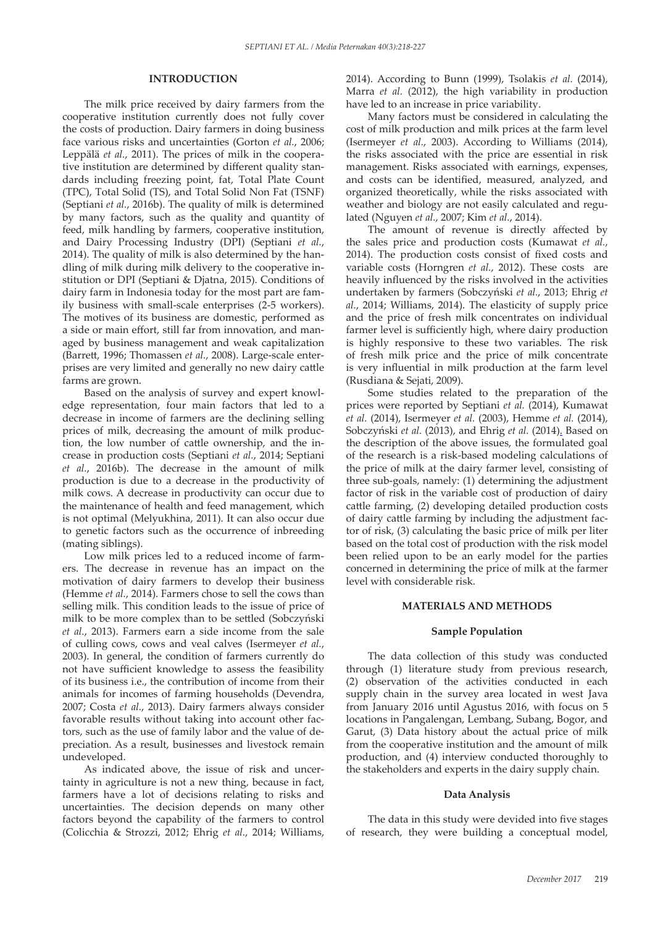### **INTRODUCTION**

The milk price received by dairy farmers from the cooperative institution currently does not fully cover the costs of production. Dairy farmers in doing business face various risks and uncertainties (Gorton *et al.*, 2006; Leppälä *et al.*, 2011). The prices of milk in the cooperative institution are determined by different quality standards including freezing point, fat, Total Plate Count (TPC), Total Solid (TS), and Total Solid Non Fat (TSNF) (Septiani *et al.*, 2016b). The quality of milk is determined by many factors, such as the quality and quantity of feed, milk handling by farmers, cooperative institution, and Dairy Processing Industry (DPI) (Septiani *et al.*, 2014). The quality of milk is also determined by the handling of milk during milk delivery to the cooperative institution or DPI (Septiani & Djatna, 2015). Conditions of dairy farm in Indonesia today for the most part are family business with small-scale enterprises (2-5 workers). The motives of its business are domestic, performed as a side or main effort, still far from innovation, and managed by business management and weak capitalization (Barrett, 1996; Thomassen *et al.*, 2008). Large-scale enterprises are very limited and generally no new dairy cattle farms are grown.

Based on the analysis of survey and expert knowledge representation, four main factors that led to a decrease in income of farmers are the declining selling prices of milk, decreasing the amount of milk production, the low number of cattle ownership, and the increase in production costs (Septiani *et al.*, 2014; Septiani *et al.*, 2016b). The decrease in the amount of milk production is due to a decrease in the productivity of milk cows. A decrease in productivity can occur due to the maintenance of health and feed management, which is not optimal (Melyukhina, 2011). It can also occur due to genetic factors such as the occurrence of inbreeding (mating siblings).

Low milk prices led to a reduced income of farmers. The decrease in revenue has an impact on the motivation of dairy farmers to develop their business (Hemme *et al.*, 2014). Farmers chose to sell the cows than selling milk. This condition leads to the issue of price of milk to be more complex than to be settled (Sobczyński *et al.*, 2013). Farmers earn a side income from the sale of culling cows, cows and veal calves (Isermeyer *et al.*, 2003). In general, the condition of farmers currently do not have sufficient knowledge to assess the feasibility of its business i.e., the contribution of income from their animals for incomes of farming households (Devendra, 2007; Costa *et al.*, 2013). Dairy farmers always consider favorable results without taking into account other factors, such as the use of family labor and the value of depreciation. As a result, businesses and livestock remain undeveloped.

As indicated above, the issue of risk and uncertainty in agriculture is not a new thing, because in fact, farmers have a lot of decisions relating to risks and uncertainties. The decision depends on many other factors beyond the capability of the farmers to control (Colicchia & Strozzi, 2012; Ehrig *et al.*, 2014; Williams, 2014). According to Bunn (1999), Tsolakis *et al.* (2014), Marra *et al.* (2012), the high variability in production have led to an increase in price variability.

Many factors must be considered in calculating the cost of milk production and milk prices at the farm level (Isermeyer *et al.*, 2003). According to Williams (2014), the risks associated with the price are essential in risk management. Risks associated with earnings, expenses, and costs can be identified, measured, analyzed, and organized theoretically, while the risks associated with weather and biology are not easily calculated and regulated (Nguyen *et al.*, 2007; Kim *et al.*, 2014).

The amount of revenue is directly affected by the sales price and production costs (Kumawat *et al.*, 2014). The production costs consist of fixed costs and variable costs (Horngren *et al.*, 2012). These costs are heavily influenced by the risks involved in the activities undertaken by farmers (Sobczyński *et al.*, 2013; Ehrig *et al.*, 2014; Williams, 2014). The elasticity of supply price and the price of fresh milk concentrates on individual farmer level is sufficiently high, where dairy production is highly responsive to these two variables. The risk of fresh milk price and the price of milk concentrate is very influential in milk production at the farm level (Rusdiana & Sejati, 2009).

Some studies related to the preparation of the prices were reported by Septiani *et al.* (2014), Kumawat *et al.* (2014), Isermeyer *et al.* (2003), Hemme *et al.* (2014), Sobczyński *et al.* (2013), and Ehrig *et al.* (2014). Based on the description of the above issues, the formulated goal of the research is a risk-based modeling calculations of the price of milk at the dairy farmer level, consisting of three sub-goals, namely: (1) determining the adjustment factor of risk in the variable cost of production of dairy cattle farming, (2) developing detailed production costs of dairy cattle farming by including the adjustment factor of risk, (3) calculating the basic price of milk per liter based on the total cost of production with the risk model been relied upon to be an early model for the parties concerned in determining the price of milk at the farmer level with considerable risk.

#### **MATERIALS AND METHODS**

#### **Sample Population**

The data collection of this study was conducted through (1) literature study from previous research, (2) observation of the activities conducted in each supply chain in the survey area located in west Java from January 2016 until Agustus 2016, with focus on 5 locations in Pangalengan, Lembang, Subang, Bogor, and Garut, (3) Data history about the actual price of milk from the cooperative institution and the amount of milk production, and (4) interview conducted thoroughly to the stakeholders and experts in the dairy supply chain.

#### **Data Analysis**

The data in this study were devided into five stages of research, they were building a conceptual model,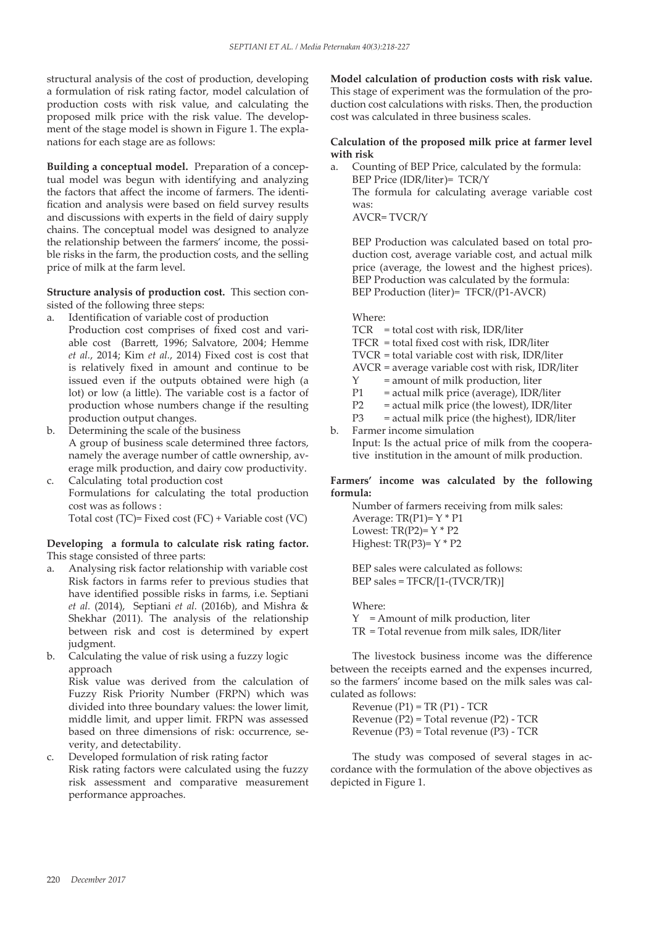structural analysis of the cost of production, developing a formulation of risk rating factor, model calculation of production costs with risk value, and calculating the proposed milk price with the risk value. The development of the stage model is shown in Figure 1. The explanations for each stage are as follows:

**Building a conceptual model.** Preparation of a conceptual model was begun with identifying and analyzing the factors that affect the income of farmers. The identification and analysis were based on field survey results and discussions with experts in the field of dairy supply chains. The conceptual model was designed to analyze the relationship between the farmers' income, the possible risks in the farm, the production costs, and the selling price of milk at the farm level.

**Structure analysis of production cost.** This section consisted of the following three steps:

- a. Identification of variable cost of production Production cost comprises of fixed cost and variable cost (Barrett, 1996; Salvatore, 2004; Hemme *et al.*, 2014; Kim *et al.*, 2014) Fixed cost is cost that is relatively fixed in amount and continue to be issued even if the outputs obtained were high (a lot) or low (a little). The variable cost is a factor of production whose numbers change if the resulting production output changes.
- b. Determining the scale of the business A group of business scale determined three factors, namely the average number of cattle ownership, average milk production, and dairy cow productivity.
- c. Calculating total production cost Formulations for calculating the total production cost was as follows : Total cost (TC)= Fixed cost (FC) + Variable cost (VC)

# **Developing a formula to calculate risk rating factor.**  This stage consisted of three parts:

- a. Analysing risk factor relationship with variable cost Risk factors in farms refer to previous studies that have identified possible risks in farms, i.e. Septiani *et al.* (2014), Septiani *et al.* (2016b), and Mishra & Shekhar (2011). The analysis of the relationship between risk and cost is determined by expert judgment.
- b. Calculating the value of risk using a fuzzy logic approach

Risk value was derived from the calculation of Fuzzy Risk Priority Number (FRPN) which was divided into three boundary values: the lower limit, middle limit, and upper limit. FRPN was assessed based on three dimensions of risk: occurrence, severity, and detectability.

c. Developed formulation of risk rating factor Risk rating factors were calculated using the fuzzy risk assessment and comparative measurement performance approaches.

**Model calculation of production costs with risk value.**  This stage of experiment was the formulation of the production cost calculations with risks. Then, the production cost was calculated in three business scales.

# **Calculation of the proposed milk price at farmer level with risk**

a. Counting of BEP Price, calculated by the formula: BEP Price (IDR/liter)= TCR/Y The formula for calculating average variable cost was: AVCR= TVCR/Y

BEP Production was calculated based on total production cost, average variable cost, and actual milk price (average, the lowest and the highest prices). BEP Production was calculated by the formula: BEP Production (liter)= TFCR/(P1-AVCR)

#### Where:

- TCR = total cost with risk, IDR/liter
- TFCR = total fixed cost with risk, IDR/liter
- TVCR = total variable cost with risk, IDR/liter
- AVCR = average variable cost with risk, IDR/liter
- $Y =$  amount of milk production, liter
- P1 = actual milk price (average), IDR/liter
- P2 = actual milk price (the lowest), IDR/liter
- P3 = actual milk price (the highest), IDR/liter

b. Farmer income simulation Input: Is the actual price of milk from the cooperative institution in the amount of milk production.

### **Farmers' income was calculated by the following formula:**

Number of farmers receiving from milk sales: Average:  $TR(P1)=Y * P1$ Lowest:  $TR(P2)=Y*P2$ Highest:  $TR(P3)= Y * P2$ 

BEP sales were calculated as follows: BEP sales = TFCR/[1-(TVCR/TR)]

Where: Y = Amount of milk production, liter TR = Total revenue from milk sales, IDR/liter

The livestock business income was the difference between the receipts earned and the expenses incurred, so the farmers' income based on the milk sales was calculated as follows:

Revenue  $(P1)$  = TR  $(P1)$  - TCR Revenue (P2) = Total revenue (P2) - TCR Revenue (P3) = Total revenue (P3) - TCR

The study was composed of several stages in accordance with the formulation of the above objectives as depicted in Figure 1.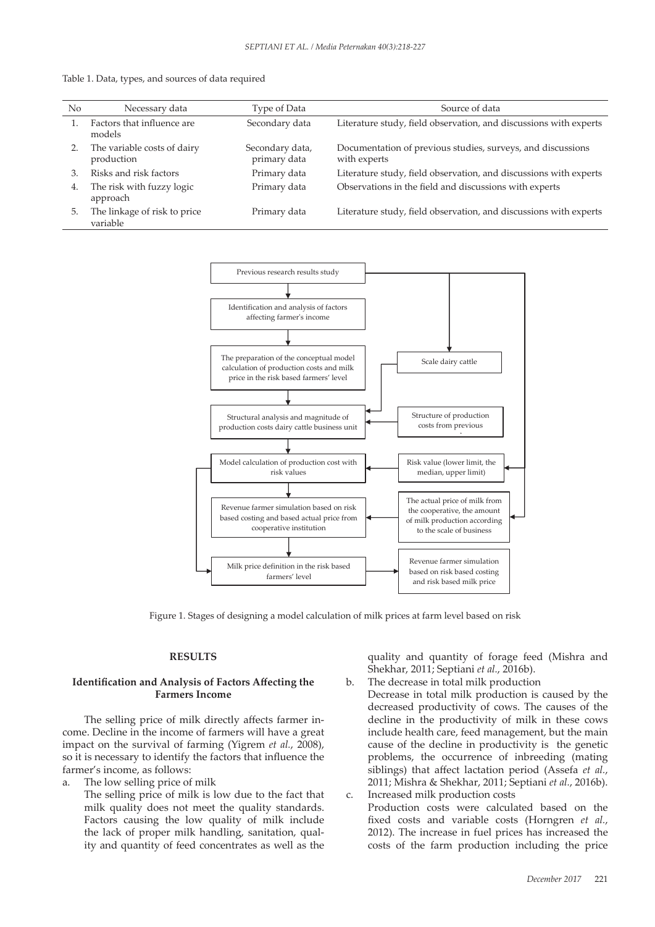|  | Table 1. Data, types, and sources of data required |  |
|--|----------------------------------------------------|--|
|  |                                                    |  |

| N <sub>o</sub> | Necessary data                            | Type of Data                    | Source of data                                                              |
|----------------|-------------------------------------------|---------------------------------|-----------------------------------------------------------------------------|
|                | Factors that influence are<br>models      | Secondary data                  | Literature study, field observation, and discussions with experts           |
|                | The variable costs of dairy<br>production | Secondary data,<br>primary data | Documentation of previous studies, surveys, and discussions<br>with experts |
| 3.             | Risks and risk factors                    | Primary data                    | Literature study, field observation, and discussions with experts           |
| 4.             | The risk with fuzzy logic<br>approach     | Primary data                    | Observations in the field and discussions with experts                      |
| 5.             | The linkage of risk to price<br>variable  | Primary data                    | Literature study, field observation, and discussions with experts           |



Figure 1. Stages of designing a model calculation of milk prices at farm level based on risk 565 Figure 1. Stages of designing a model calculation of milk prices at farm level based on risk

### **RESULTS**

### **Identification and Analysis of Factors Affecting the Farmers Income**

The selling price of milk directly affects farmer income. Decline in the income of farmers will have a great impact on the survival of farming (Yigrem *et al.*, 2008), so it is necessary to identify the factors that influence the farmer's income, as follows:

- a. The low selling price of milk
- The selling price of milk is low due to the fact that milk quality does not meet the quality standards. Factors causing the low quality of milk include the lack of proper milk handling, sanitation, quality and quantity of feed concentrates as well as the

quality and quantity of forage feed (Mishra and Shekhar, 2011; Septiani *et al.*, 2016b).

- b. The decrease in total milk production Decrease in total milk production is caused by the decreased productivity of cows. The causes of the decline in the productivity of milk in these cows include health care, feed management, but the main cause of the decline in productivity is the genetic problems, the occurrence of inbreeding (mating siblings) that affect lactation period (Assefa *et al.*, 2011; Mishra & Shekhar, 2011; Septiani *et al.*, 2016b). c. Increased milk production costs
- Production costs were calculated based on the fixed costs and variable costs (Horngren *et al.*, 2012). The increase in fuel prices has increased the costs of the farm production including the price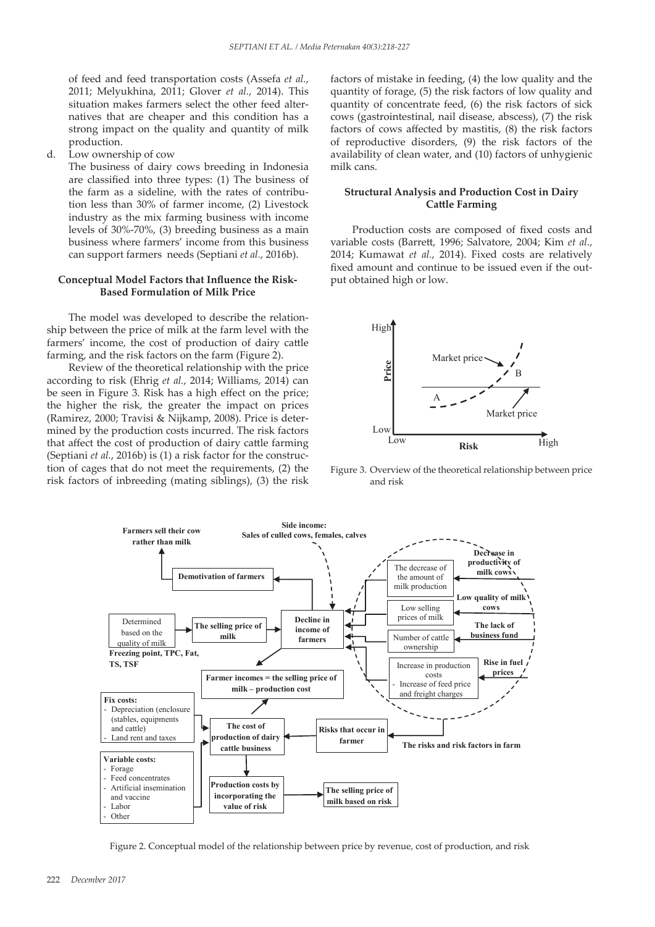of feed and feed transportation costs (Assefa *et al.*, 2011; Melyukhina, 2011; Glover *et al.*, 2014). This situation makes farmers select the other feed alternatives that are cheaper and this condition has a strong impact on the quality and quantity of milk production.

d. Low ownership of cow

The business of dairy cows breeding in Indonesia are classified into three types: (1) The business of the farm as a sideline, with the rates of contribution less than 30% of farmer income, (2) Livestock industry as the mix farming business with income levels of 30%-70%, (3) breeding business as a main business where farmers' income from this business can support farmers needs (Septiani *et al.*, 2016b).

### **Conceptual Model Factors that Influence the Risk-Based Formulation of Milk Price**

The model was developed to describe the relationship between the price of milk at the farm level with the farmers' income, the cost of production of dairy cattle farming, and the risk factors on the farm (Figure 2).

Review of the theoretical relationship with the price according to risk (Ehrig *et al.*, 2014; Williams, 2014) can be seen in Figure 3. Risk has a high effect on the price; the higher the risk, the greater the impact on prices (Ramirez, 2000; Travisi & Nijkamp, 2008). Price is determined by the production costs incurred. The risk factors that affect the cost of production of dairy cattle farming (Septiani *et al.*, 2016b) is (1) a risk factor for the construction of cages that do not meet the requirements, (2) the risk factors of inbreeding (mating siblings), (3) the risk

factors of mistake in feeding, (4) the low quality and the quantity of forage, (5) the risk factors of low quality and quantity of concentrate feed, (6) the risk factors of sick cows (gastrointestinal, nail disease, abscess), (7) the risk factors of cows affected by mastitis, (8) the risk factors of reproductive disorders, (9) the risk factors of the availability of clean water, and (10) factors of unhygienic milk cans.

#### **Structural Analysis and Production Cost in Dairy Cattle Farming**

Production costs are composed of fixed costs and variable costs (Barrett, 1996; Salvatore, 2004; Kim *et al.*, 2014; Kumawat *et al.*, 2014). Fixed costs are relatively fixed amount and continue to be issued even if the output obtained high or low.



requirements, (2) the Figure 3. Overview of the theoretical relationship between price airlines). (2) the risk and risk



Figure 2. Conceptual model of the relationship between price by revenue, cost of production, and risk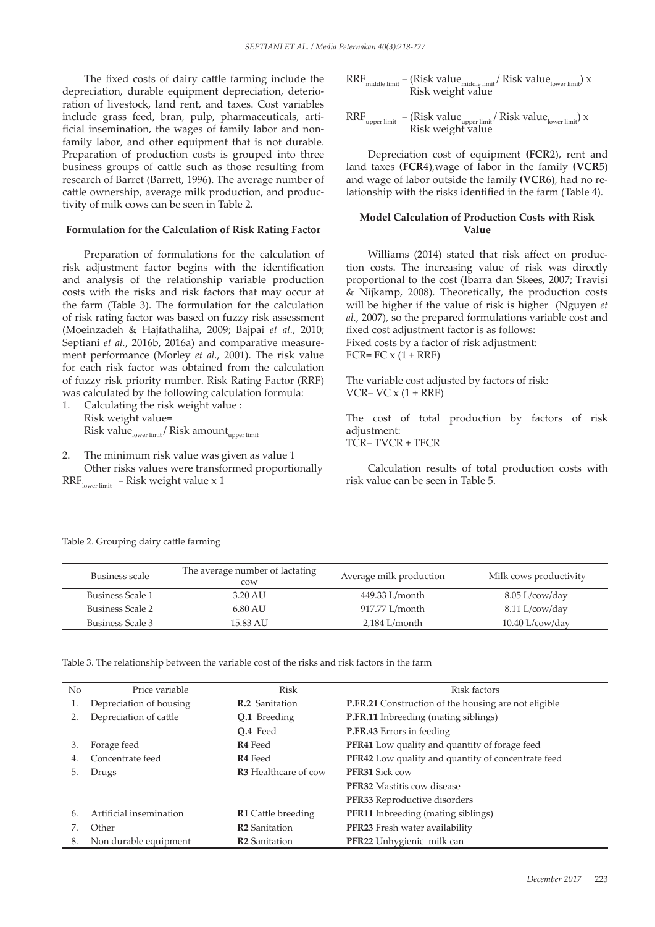The fixed costs of dairy cattle farming include the depreciation, durable equipment depreciation, deterioration of livestock, land rent, and taxes. Cost variables include grass feed, bran, pulp, pharmaceuticals, artificial insemination, the wages of family labor and nonfamily labor, and other equipment that is not durable. Preparation of production costs is grouped into three business groups of cattle such as those resulting from research of Barret (Barrett, 1996). The average number of cattle ownership, average milk production, and productivity of milk cows can be seen in Table 2.

#### **Formulation for the Calculation of Risk Rating Factor**

Preparation of formulations for the calculation of risk adjustment factor begins with the identification and analysis of the relationship variable production costs with the risks and risk factors that may occur at the farm (Table 3). The formulation for the calculation of risk rating factor was based on fuzzy risk assessment (Moeinzadeh & Hajfathaliha, 2009; Bajpai *et al.*, 2010; Septiani *et al.*, 2016b, 2016a) and comparative measurement performance (Morley *et al.*, 2001). The risk value for each risk factor was obtained from the calculation of fuzzy risk priority number. Risk Rating Factor (RRF) was calculated by the following calculation formula:

- 1. Calculating the risk weight value : Risk weight value= Risk value<sub>lower limit</sub> / Risk amount<sub>upper limit</sub>
- 2. The minimum risk value was given as value 1 Other risks values were transformed proportionally

 $\text{RRF}_{\text{lower limit}}$  = Risk weight value x 1

 $\text{RRF}_{\text{middle limit}} = (\text{Risk value}_{\text{middle limit}} / \text{Risk value}_{\text{lower limit}}) \times$ Risk weight value

 $\operatorname{RRF}_{\text{upper limit}} = (\operatorname{Risk value}_{\text{upper limit}} / \operatorname{Risk value}_{\text{lower limit}}) \times$ Risk weight value

Depreciation cost of equipment **(FCR**2), rent and land taxes **(FCR**4),wage of labor in the family **(VCR**5) and wage of labor outside the family **(VCR**6), had no relationship with the risks identified in the farm (Table 4).

### **Model Calculation of Production Costs with Risk Value**

Williams (2014) stated that risk affect on production costs. The increasing value of risk was directly proportional to the cost (Ibarra dan Skees, 2007; Travisi & Nijkamp, 2008). Theoretically, the production costs will be higher if the value of risk is higher (Nguyen *et al.*, 2007), so the prepared formulations variable cost and fixed cost adjustment factor is as follows: Fixed costs by a factor of risk adjustment: FCR=  $FC x (1 + RRF)$ 

The variable cost adjusted by factors of risk:  $VCR= VC \times (1 + RRF)$ 

The cost of total production by factors of risk adjustment: TCR= TVCR + TFCR

Calculation results of total production costs with risk value can be seen in Table 5.

| Business scale          | The average number of lactating<br>COW | Average milk production | Milk cows productivity |
|-------------------------|----------------------------------------|-------------------------|------------------------|
| <b>Business Scale 1</b> | 3.20 AU                                | 449.33 L/month          | $8.05$ L/cow/day       |
| <b>Business Scale 2</b> | 6.80 AU                                | 917.77 L/month          | 8.11 L/cow/day         |
| Business Scale 3        | 15.83 AU                               | $2,184$ L/month         | $10.40$ L/cow/day      |

Table 2. Grouping dairy cattle farming

Table 3. The relationship between the variable cost of the risks and risk factors in the farm

| No. | Price variable          | Risk                        | Risk factors                                              |  |  |
|-----|-------------------------|-----------------------------|-----------------------------------------------------------|--|--|
| 1.  | Depreciation of housing | <b>R.2</b> Sanitation       | P.FR.21 Construction of the housing are not eligible      |  |  |
| 2.  | Depreciation of cattle  | Q.1 Breeding                | <b>P.FR.11</b> Inbreeding (mating siblings)               |  |  |
|     |                         | O.4 Feed                    | P.FR.43 Errors in feeding                                 |  |  |
| 3.  | Forage feed             | <b>R4</b> Feed              | <b>PFR41</b> Low quality and quantity of forage feed      |  |  |
| 4.  | Concentrate feed        | <b>R4</b> Feed              | <b>PFR42</b> Low quality and quantity of concentrate feed |  |  |
| 5.  | Drugs                   | <b>R3</b> Healthcare of cow | <b>PFR31 Sick cow</b>                                     |  |  |
|     |                         |                             | <b>PFR32</b> Mastitis cow disease                         |  |  |
|     |                         |                             | <b>PFR33</b> Reproductive disorders                       |  |  |
| 6.  | Artificial insemination | <b>R1</b> Cattle breeding   | <b>PFR11</b> Inbreeding (mating siblings)                 |  |  |
|     | Other                   | R <sub>2</sub> Sanitation   | PFR23 Fresh water availability                            |  |  |
| 8.  | Non durable equipment   | <b>R2</b> Sanitation        | PFR22 Unhygienic milk can                                 |  |  |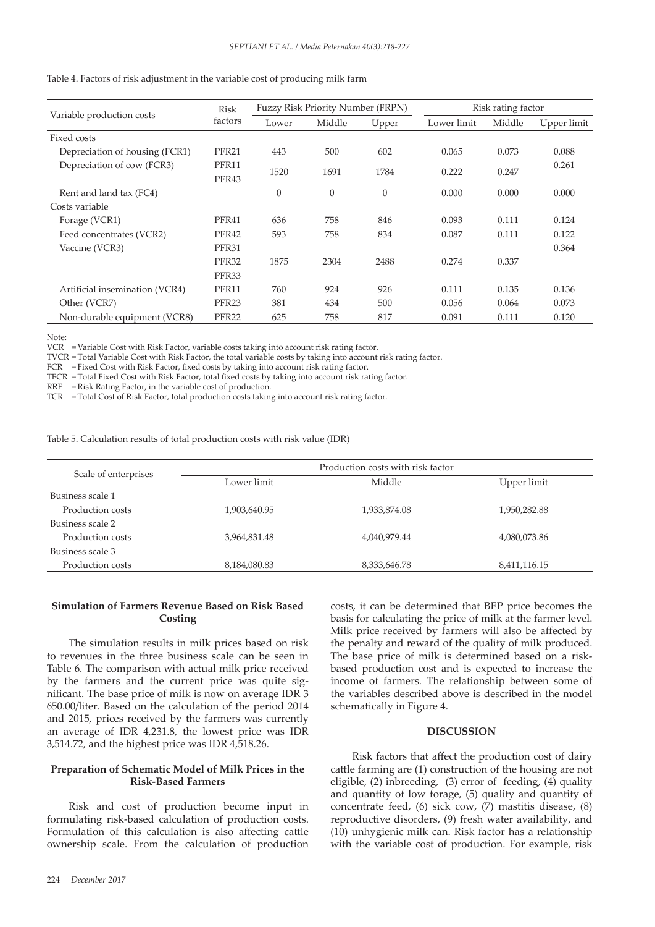Table 4. Factors of risk adjustment in the variable cost of producing milk farm

|                                | <b>Risk</b>       | <b>Fuzzy Risk Priority Number (FRPN)</b> |          |          | Risk rating factor |        |             |
|--------------------------------|-------------------|------------------------------------------|----------|----------|--------------------|--------|-------------|
| Variable production costs      | factors           | Lower                                    | Middle   | Upper    | Lower limit        | Middle | Upper limit |
| Fixed costs                    |                   |                                          |          |          |                    |        |             |
| Depreciation of housing (FCR1) | PFR21             | 443                                      | 500      | 602      | 0.065              | 0.073  | 0.088       |
| Depreciation of cow (FCR3)     | PFR11<br>PFR43    | 1520                                     | 1691     | 1784     | 0.222              | 0.247  | 0.261       |
| Rent and land tax (FC4)        |                   | $\theta$                                 | $\theta$ | $\theta$ | 0.000              | 0.000  | 0.000       |
| Costs variable                 |                   |                                          |          |          |                    |        |             |
| Forage (VCR1)                  | PFR41             | 636                                      | 758      | 846      | 0.093              | 0.111  | 0.124       |
| Feed concentrates (VCR2)       | PFR42             | 593                                      | 758      | 834      | 0.087              | 0.111  | 0.122       |
| Vaccine (VCR3)                 | PFR31             |                                          |          |          |                    |        | 0.364       |
|                                | PFR32             | 1875                                     | 2304     | 2488     | 0.274              | 0.337  |             |
|                                | PFR33             |                                          |          |          |                    |        |             |
| Artificial insemination (VCR4) | PFR11             | 760                                      | 924      | 926      | 0.111              | 0.135  | 0.136       |
| Other (VCR7)                   | PFR <sub>23</sub> | 381                                      | 434      | 500      | 0.056              | 0.064  | 0.073       |
| Non-durable equipment (VCR8)   | PFR <sub>22</sub> | 625                                      | 758      | 817      | 0.091              | 0.111  | 0.120       |

Note:

VCR = Variable Cost with Risk Factor, variable costs taking into account risk rating factor.

TVCR = Total Variable Cost with Risk Factor, the total variable costs by taking into account risk rating factor.

FCR = Fixed Cost with Risk Factor, fixed costs by taking into account risk rating factor.

TFCR = Total Fixed Cost with Risk Factor, total fixed costs by taking into account risk rating factor.

RRF = Risk Rating Factor, in the variable cost of production.

TCR = Total Cost of Risk Factor, total production costs taking into account risk rating factor.

Table 5. Calculation results of total production costs with risk value (IDR)

| Scale of enterprises | Production costs with risk factor |              |              |  |  |  |
|----------------------|-----------------------------------|--------------|--------------|--|--|--|
|                      | Lower limit                       | Middle       | Upper limit  |  |  |  |
| Business scale 1     |                                   |              |              |  |  |  |
| Production costs     | 1,903,640.95                      | 1,933,874.08 | 1,950,282.88 |  |  |  |
| Business scale 2     |                                   |              |              |  |  |  |
| Production costs     | 3,964,831.48                      | 4,040,979.44 | 4,080,073.86 |  |  |  |
| Business scale 3     |                                   |              |              |  |  |  |
| Production costs     | 8,184,080.83                      | 8,333,646.78 | 8,411,116.15 |  |  |  |

### **Simulation of Farmers Revenue Based on Risk Based Costing**

The simulation results in milk prices based on risk to revenues in the three business scale can be seen in Table 6. The comparison with actual milk price received by the farmers and the current price was quite significant. The base price of milk is now on average IDR 3 650.00/liter. Based on the calculation of the period 2014 and 2015, prices received by the farmers was currently an average of IDR 4,231.8, the lowest price was IDR 3,514.72, and the highest price was IDR 4,518.26.

### **Preparation of Schematic Model of Milk Prices in the Risk-Based Farmers**

Risk and cost of production become input in formulating risk-based calculation of production costs. Formulation of this calculation is also affecting cattle ownership scale. From the calculation of production

costs, it can be determined that BEP price becomes the basis for calculating the price of milk at the farmer level. Milk price received by farmers will also be affected by the penalty and reward of the quality of milk produced. The base price of milk is determined based on a riskbased production cost and is expected to increase the income of farmers. The relationship between some of the variables described above is described in the model schematically in Figure 4.

### **DISCUSSION**

Risk factors that affect the production cost of dairy cattle farming are (1) construction of the housing are not eligible, (2) inbreeding, (3) error of feeding, (4) quality and quantity of low forage, (5) quality and quantity of concentrate feed, (6) sick cow, (7) mastitis disease, (8) reproductive disorders, (9) fresh water availability, and (10) unhygienic milk can. Risk factor has a relationship with the variable cost of production. For example, risk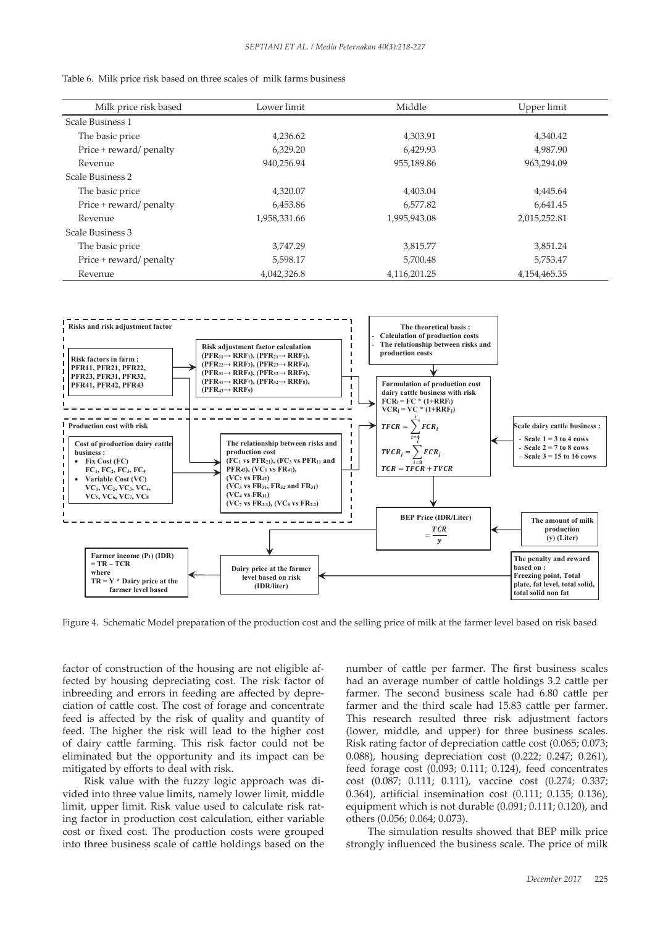| Table 6. Milk price risk based on three scales of milk farms business |  |  |  |  |  |  |
|-----------------------------------------------------------------------|--|--|--|--|--|--|
|-----------------------------------------------------------------------|--|--|--|--|--|--|

| Milk price risk based   | Lower limit  | Middle       | Upper limit  |
|-------------------------|--------------|--------------|--------------|
| Scale Business 1        |              |              |              |
| The basic price         | 4,236.62     | 4,303.91     | 4,340.42     |
| Price + reward/ penalty | 6,329.20     | 6,429.93     | 4.987.90     |
| Revenue                 | 940,256.94   | 955,189.86   | 963,294.09   |
| Scale Business 2        |              |              |              |
| The basic price         | 4,320.07     | 4,403.04     | 4,445.64     |
| Price + reward/ penalty | 6.453.86     | 6.577.82     | 6.641.45     |
| Revenue                 | 1,958,331.66 | 1,995,943.08 | 2,015,252.81 |
| Scale Business 3        |              |              |              |
| The basic price         | 3.747.29     | 3,815.77     | 3,851.24     |
| Price + reward/ penalty | 5,598.17     | 5,700.48     | 5,753.47     |
| Revenue                 | 4,042,326.8  | 4,116,201.25 | 4,154,465.35 |



Figure 4. Schematic Model preparation of the production cost and the selling price of milk at the farmer level based on risk based

factor of construction of the housing are not eligible affected by housing depreciating cost. The risk factor of inbreeding and errors in feeding are affected by depreciation of cattle cost. The cost of forage and concentrate feed is affected by the risk of quality and quantity of feed. The higher the risk will lead to the higher cost of dairy cattle farming. This risk factor could not be eliminated but the opportunity and its impact can be mitigated by efforts to deal with risk.

Risk value with the fuzzy logic approach was divided into three value limits, namely lower limit, middle limit, upper limit. Risk value used to calculate risk rating factor in production cost calculation, either variable cost or fixed cost. The production costs were grouped into three business scale of cattle holdings based on the number of cattle per farmer. The first business scales had an average number of cattle holdings 3.2 cattle per farmer. The second business scale had 6.80 cattle per farmer and the third scale had 15.83 cattle per farmer. This research resulted three risk adjustment factors (lower, middle, and upper) for three business scales. Risk rating factor of depreciation cattle cost (0.065; 0.073; 0.088), housing depreciation cost (0.222; 0.247; 0.261), feed forage cost (0.093; 0.111; 0.124), feed concentrates cost (0.087; 0.111; 0.111), vaccine cost (0.274; 0.337; 0.364), artificial insemination cost (0.111; 0.135; 0.136), equipment which is not durable (0.091; 0.111; 0.120), and others (0.056; 0.064; 0.073).

The simulation results showed that BEP milk price strongly influenced the business scale. The price of milk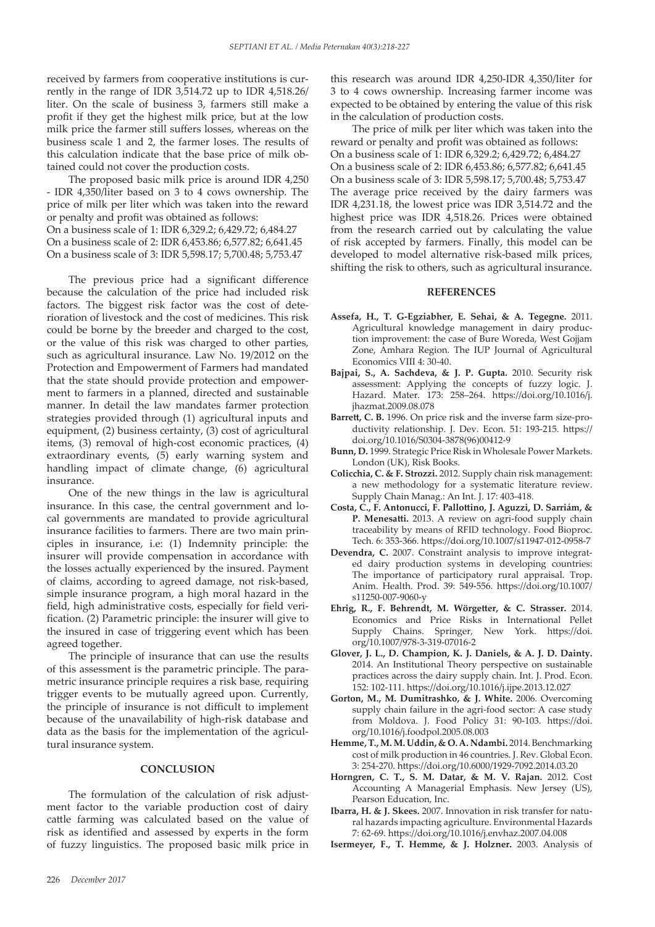received by farmers from cooperative institutions is currently in the range of IDR 3,514.72 up to IDR 4,518.26/ liter. On the scale of business 3, farmers still make a profit if they get the highest milk price, but at the low milk price the farmer still suffers losses, whereas on the business scale 1 and 2, the farmer loses. The results of this calculation indicate that the base price of milk obtained could not cover the production costs.

The proposed basic milk price is around IDR 4,250 - IDR 4,350/liter based on 3 to 4 cows ownership. The price of milk per liter which was taken into the reward or penalty and profit was obtained as follows: On a business scale of 1: IDR 6,329.2; 6,429.72; 6,484.27 On a business scale of 2: IDR 6,453.86; 6,577.82; 6,641.45 On a business scale of 3: IDR 5,598.17; 5,700.48; 5,753.47

The previous price had a significant difference because the calculation of the price had included risk factors. The biggest risk factor was the cost of deterioration of livestock and the cost of medicines. This risk could be borne by the breeder and charged to the cost, or the value of this risk was charged to other parties, such as agricultural insurance. Law No. 19/2012 on the Protection and Empowerment of Farmers had mandated that the state should provide protection and empowerment to farmers in a planned, directed and sustainable manner. In detail the law mandates farmer protection strategies provided through (1) agricultural inputs and equipment, (2) business certainty, (3) cost of agricultural items, (3) removal of high-cost economic practices, (4) extraordinary events, (5) early warning system and handling impact of climate change, (6) agricultural insurance.

One of the new things in the law is agricultural insurance. In this case, the central government and local governments are mandated to provide agricultural insurance facilities to farmers. There are two main principles in insurance, i.e: (1) Indemnity principle: the insurer will provide compensation in accordance with the losses actually experienced by the insured. Payment of claims, according to agreed damage, not risk-based, simple insurance program, a high moral hazard in the field, high administrative costs, especially for field verification. (2) Parametric principle: the insurer will give to the insured in case of triggering event which has been agreed together.

The principle of insurance that can use the results of this assessment is the parametric principle. The parametric insurance principle requires a risk base, requiring trigger events to be mutually agreed upon. Currently, the principle of insurance is not difficult to implement because of the unavailability of high-risk database and data as the basis for the implementation of the agricultural insurance system.

#### **CONCLUSION**

The formulation of the calculation of risk adjustment factor to the variable production cost of dairy cattle farming was calculated based on the value of risk as identified and assessed by experts in the form of fuzzy linguistics. The proposed basic milk price in

this research was around IDR 4,250-IDR 4,350/liter for 3 to 4 cows ownership. Increasing farmer income was expected to be obtained by entering the value of this risk in the calculation of production costs.

The price of milk per liter which was taken into the reward or penalty and profit was obtained as follows: On a business scale of 1: IDR 6,329.2; 6,429.72; 6,484.27 On a business scale of 2: IDR 6,453.86; 6,577.82; 6,641.45 On a business scale of 3: IDR 5,598.17; 5,700.48; 5,753.47 The average price received by the dairy farmers was IDR 4,231.18, the lowest price was IDR 3,514.72 and the highest price was IDR 4,518.26. Prices were obtained from the research carried out by calculating the value of risk accepted by farmers. Finally, this model can be developed to model alternative risk-based milk prices, shifting the risk to others, such as agricultural insurance.

#### **REFERENCES**

- **Assefa, H., T. G-Egziabher, E. Sehai, & A. Tegegne.** 2011. Agricultural knowledge management in dairy production improvement: the case of Bure Woreda, West Gojjam Zone, Amhara Region. The IUP Journal of Agricultural Economics VIII 4: 30-40.
- **Bajpai, S., A. Sachdeva, & J. P. Gupta.** 2010. Security risk assessment: Applying the concepts of fuzzy logic. J. Hazard. Mater. 173: 258–264. https://doi.org/10.1016/j. jhazmat.2009.08.078
- **Barrett, C. B.** 1996. On price risk and the inverse farm size-productivity relationship. J. Dev. Econ. 51: 193-215. https:// doi.org/10.1016/S0304-3878(96)00412-9
- **Bunn, D.** 1999. Strategic Price Risk in Wholesale Power Markets. London (UK), Risk Books.
- **Colicchia, C. & F. Strozzi.** 2012. Supply chain risk management: a new methodology for a systematic literature review. Supply Chain Manag.: An Int. J. 17: 403-418.
- **Costa, C., F. Antonucci, F. Pallottino, J. Aguzzi, D. Sarriám, & P. Menesatti.** 2013. A review on agri-food supply chain traceability by means of RFID technology. Food Bioproc. Tech. 6: 353-366. https://doi.org/10.1007/s11947-012-0958-7
- **Devendra, C.** 2007. Constraint analysis to improve integrated dairy production systems in developing countries: The importance of participatory rural appraisal. Trop. Anim. Health. Prod. 39: 549-556. https://doi.org/10.1007/ s11250-007-9060-y
- **Ehrig, R., F. Behrendt, M. Wörgetter, & C. Strasser.** 2014. Economics and Price Risks in International Pellet Supply Chains. Springer, New York. https://doi. org/10.1007/978-3-319-07016-2
- **Glover, J. L., D. Champion, K. J. Daniels, & A. J. D. Dainty.** 2014. An Institutional Theory perspective on sustainable practices across the dairy supply chain. Int. J. Prod. Econ. 152: 102-111. https://doi.org/10.1016/j.ijpe.2013.12.027
- **Gorton, M., M. Dumitrashko, & J. White.** 2006. Overcoming supply chain failure in the agri-food sector: A case study from Moldova. J. Food Policy 31: 90-103. https://doi. org/10.1016/j.foodpol.2005.08.003
- **Hemme, T., M. M. Uddin, & O. A. Ndambi.** 2014. Benchmarking cost of milk production in 46 countries. J. Rev. Global Econ. 3: 254-270. https://doi.org/10.6000/1929-7092.2014.03.20
- **Horngren, C. T., S. M. Datar, & M. V. Rajan.** 2012. Cost Accounting A Managerial Emphasis. New Jersey (US), Pearson Education, Inc.
- **Ibarra, H. & J. Skees.** 2007. Innovation in risk transfer for natural hazards impacting agriculture. Environmental Hazards 7: 62-69. https://doi.org/10.1016/j.envhaz.2007.04.008
- **Isermeyer, F., T. Hemme, & J. Holzner.** 2003. Analysis of